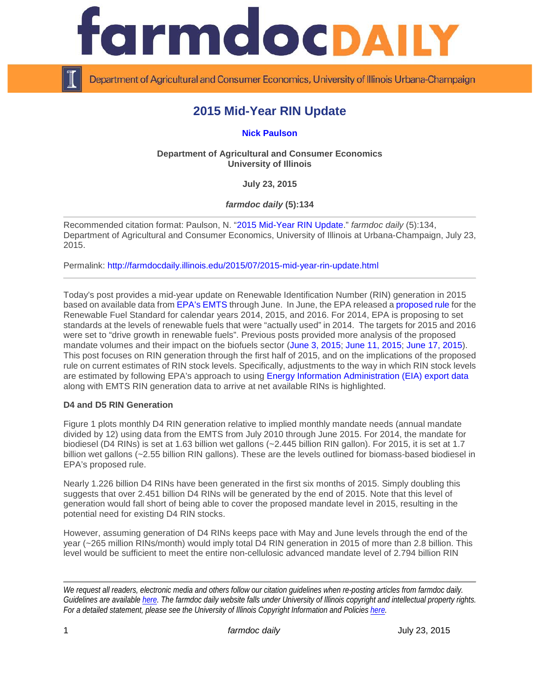

Department of Agricultural and Consumer Economics, University of Illinois Urbana-Champaign

# **2015 Mid-Year RIN Update**

**[Nick Paulson](http://farmdoc.illinois.edu/paulson/)**

**Department of Agricultural and Consumer Economics University of Illinois**

**July 23, 2015**

*farmdoc daily* **(5):134**

Recommended citation format: Paulson, N. ["2015 Mid-Year RIN Update.](http://farmdocdaily.illinois.edu/2015/07/2015-mid-year-rin-update.html)" *farmdoc daily* (5):134, Department of Agricultural and Consumer Economics, University of Illinois at Urbana-Champaign, July 23, 2015.

Permalink: <http://farmdocdaily.illinois.edu/2015/07/2015-mid-year-rin-update.html>

Today's post provides a mid-year update on Renewable Identification Number (RIN) generation in 2015 based on available data fro[m EPA's EMTS](http://www.epa.gov/otaq/fuels/rfsdata/2015emts.htm) through June. In June, the EPA released a [proposed rule](http://www.gpo.gov/fdsys/pkg/FR-2015-06-10/pdf/2015-13956.pdf) for the Renewable Fuel Standard for calendar years 2014, 2015, and 2016. For 2014, EPA is proposing to set standards at the levels of renewable fuels that were "actually used" in 2014. The targets for 2015 and 2016 were set to "drive growth in renewable fuels". Previous posts provided more analysis of the proposed mandate volumes and their impact on the biofuels sector [\(June 3, 2015;](http://farmdocdaily.illinois.edu/2015/06/epa-proposed-ethanol-mandate-2014-2015-2016-push-or-not.html) [June 11, 2015;](http://farmdocdaily.illinois.edu/2015/06/epa-doubles-down-on-questionable-reading-rfs.html) [June 17, 2015\)](http://farmdocdaily.illinois.edu/2015/06/implementing-rfs-with-push-strategy.html). This post focuses on RIN generation through the first half of 2015, and on the implications of the proposed rule on current estimates of RIN stock levels. Specifically, adjustments to the way in which RIN stock levels are estimated by following EPA's approach to using [Energy Information Administration \(EIA\) export data](http://www.eia.gov/dnav/pet/hist/LeafHandler.ashx?n=PET&s=M_EPOOXE_EEX_NUS-Z00_MBBL&f=M) along with EMTS RIN generation data to arrive at net available RINs is highlighted.

## **D4 and D5 RIN Generation**

Figure 1 plots monthly D4 RIN generation relative to implied monthly mandate needs (annual mandate divided by 12) using data from the EMTS from July 2010 through June 2015. For 2014, the mandate for biodiesel (D4 RINs) is set at 1.63 billion wet gallons (~2.445 billion RIN gallon). For 2015, it is set at 1.7 billion wet gallons (~2.55 billion RIN gallons). These are the levels outlined for biomass-based biodiesel in EPA's proposed rule.

Nearly 1.226 billion D4 RINs have been generated in the first six months of 2015. Simply doubling this suggests that over 2.451 billion D4 RINs will be generated by the end of 2015. Note that this level of generation would fall short of being able to cover the proposed mandate level in 2015, resulting in the potential need for existing D4 RIN stocks.

However, assuming generation of D4 RINs keeps pace with May and June levels through the end of the year (~265 million RINs/month) would imply total D4 RIN generation in 2015 of more than 2.8 billion. This level would be sufficient to meet the entire non-cellulosic advanced mandate level of 2.794 billion RIN

*We request all readers, electronic media and others follow our citation guidelines when re-posting articles from farmdoc daily. Guidelines are available [here.](http://farmdocdaily.illinois.edu/citationguide.html) The farmdoc daily website falls under University of Illinois copyright and intellectual property rights. For a detailed statement, please see the University of Illinois Copyright Information and Policies [here.](http://www.cio.illinois.edu/policies/copyright/)*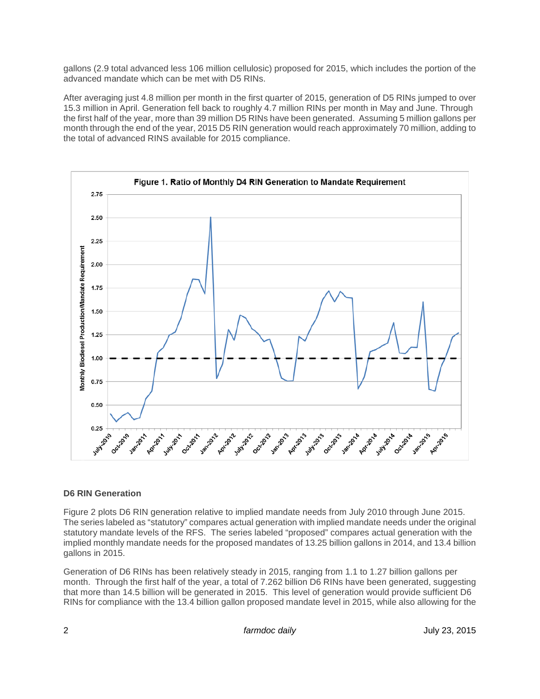gallons (2.9 total advanced less 106 million cellulosic) proposed for 2015, which includes the portion of the advanced mandate which can be met with D5 RINs.

After averaging just 4.8 million per month in the first quarter of 2015, generation of D5 RINs jumped to over 15.3 million in April. Generation fell back to roughly 4.7 million RINs per month in May and June. Through the first half of the year, more than 39 million D5 RINs have been generated. Assuming 5 million gallons per month through the end of the year, 2015 D5 RIN generation would reach approximately 70 million, adding to the total of advanced RINS available for 2015 compliance.



## **D6 RIN Generation**

Figure 2 plots D6 RIN generation relative to implied mandate needs from July 2010 through June 2015. The series labeled as "statutory" compares actual generation with implied mandate needs under the original statutory mandate levels of the RFS. The series labeled "proposed" compares actual generation with the implied monthly mandate needs for the proposed mandates of 13.25 billion gallons in 2014, and 13.4 billion gallons in 2015.

Generation of D6 RINs has been relatively steady in 2015, ranging from 1.1 to 1.27 billion gallons per month. Through the first half of the year, a total of 7.262 billion D6 RINs have been generated, suggesting that more than 14.5 billion will be generated in 2015. This level of generation would provide sufficient D6 RINs for compliance with the 13.4 billion gallon proposed mandate level in 2015, while also allowing for the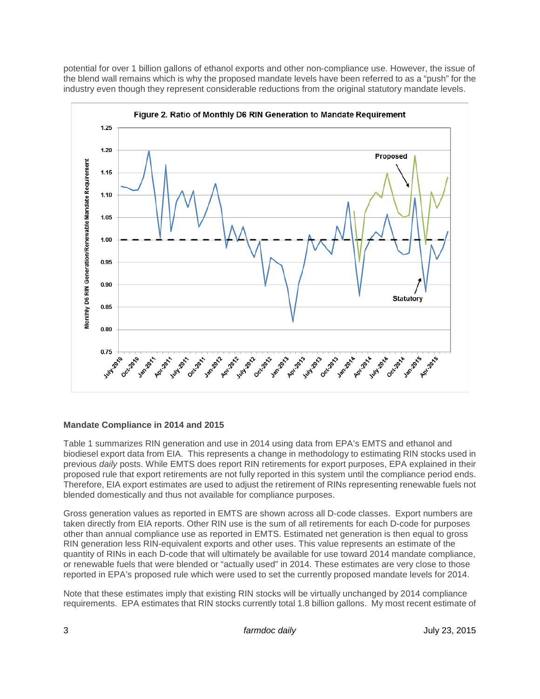potential for over 1 billion gallons of ethanol exports and other non-compliance use. However, the issue of the blend wall remains which is why the proposed mandate levels have been referred to as a "push" for the industry even though they represent considerable reductions from the original statutory mandate levels.



## **Mandate Compliance in 2014 and 2015**

Table 1 summarizes RIN generation and use in 2014 using data from EPA's EMTS and ethanol and biodiesel export data from EIA. This represents a change in methodology to estimating RIN stocks used in previous *daily* posts. While EMTS does report RIN retirements for export purposes, EPA explained in their proposed rule that export retirements are not fully reported in this system until the compliance period ends. Therefore, EIA export estimates are used to adjust the retirement of RINs representing renewable fuels not blended domestically and thus not available for compliance purposes.

Gross generation values as reported in EMTS are shown across all D-code classes. Export numbers are taken directly from EIA reports. Other RIN use is the sum of all retirements for each D-code for purposes other than annual compliance use as reported in EMTS. Estimated net generation is then equal to gross RIN generation less RIN-equivalent exports and other uses. This value represents an estimate of the quantity of RINs in each D-code that will ultimately be available for use toward 2014 mandate compliance, or renewable fuels that were blended or "actually used" in 2014. These estimates are very close to those reported in EPA's proposed rule which were used to set the currently proposed mandate levels for 2014.

Note that these estimates imply that existing RIN stocks will be virtually unchanged by 2014 compliance requirements. EPA estimates that RIN stocks currently total 1.8 billion gallons. My most recent estimate of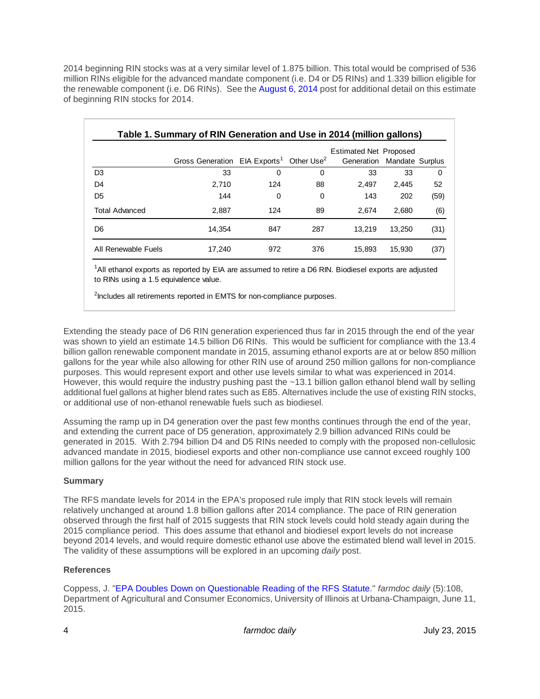2014 beginning RIN stocks was at a very similar level of 1.875 billion. This total would be comprised of 536 million RINs eligible for the advanced mandate component (i.e. D4 or D5 RINs) and 1.339 billion eligible for the renewable component (i.e. D6 RINs). See the [August 6, 2014](http://farmdocdaily.illinois.edu/2014/08/mid-year-rin-update.html) post for additional detail on this estimate of beginning RIN stocks for 2014.

| Table 1. Summary of RIN Generation and Use in 2014 (million gallons) |                                                                  |          |     |                                                             |        |          |
|----------------------------------------------------------------------|------------------------------------------------------------------|----------|-----|-------------------------------------------------------------|--------|----------|
|                                                                      | Gross Generation EIA Exports <sup>1</sup> Other Use <sup>2</sup> |          |     | <b>Estimated Net Proposed</b><br>Generation Mandate Surplus |        |          |
| D <sub>3</sub>                                                       | 33                                                               | $\Omega$ | 0   | 33                                                          | 33     | $\Omega$ |
| D4                                                                   | 2,710                                                            | 124      | 88  | 2.497                                                       | 2.445  | 52       |
| D <sub>5</sub>                                                       | 144                                                              | 0        | 0   | 143                                                         | 202    | (59)     |
| <b>Total Advanced</b>                                                | 2.887                                                            | 124      | 89  | 2.674                                                       | 2.680  | (6)      |
| D6                                                                   | 14.354                                                           | 847      | 287 | 13.219                                                      | 13.250 | (31)     |
| All Renewable Fuels                                                  | 17,240                                                           | 972      | 376 | 15.893                                                      | 15,930 | (37)     |

1 All ethanol exports as reported by EIA are assumed to retire a D6 RIN. Biodiesel exports are adjusted to RINs using a 1.5 equivalence value.

<sup>2</sup>Includes all retirements reported in EMTS for non-compliance purposes.

Extending the steady pace of D6 RIN generation experienced thus far in 2015 through the end of the year was shown to yield an estimate 14.5 billion D6 RINs. This would be sufficient for compliance with the 13.4 billion gallon renewable component mandate in 2015, assuming ethanol exports are at or below 850 million gallons for the year while also allowing for other RIN use of around 250 million gallons for non-compliance purposes. This would represent export and other use levels similar to what was experienced in 2014. However, this would require the industry pushing past the ~13.1 billion gallon ethanol blend wall by selling additional fuel gallons at higher blend rates such as E85. Alternatives include the use of existing RIN stocks, or additional use of non-ethanol renewable fuels such as biodiesel.

Assuming the ramp up in D4 generation over the past few months continues through the end of the year, and extending the current pace of D5 generation, approximately 2.9 billion advanced RINs could be generated in 2015. With 2.794 billion D4 and D5 RINs needed to comply with the proposed non-cellulosic advanced mandate in 2015, biodiesel exports and other non-compliance use cannot exceed roughly 100 million gallons for the year without the need for advanced RIN stock use.

## **Summary**

The RFS mandate levels for 2014 in the EPA's proposed rule imply that RIN stock levels will remain relatively unchanged at around 1.8 billion gallons after 2014 compliance. The pace of RIN generation observed through the first half of 2015 suggests that RIN stock levels could hold steady again during the 2015 compliance period. This does assume that ethanol and biodiesel export levels do not increase beyond 2014 levels, and would require domestic ethanol use above the estimated blend wall level in 2015. The validity of these assumptions will be explored in an upcoming *daily* post.

## **References**

Coppess, J. ["EPA Doubles Down on Questionable Reading of the RFS Statute.](http://farmdocdaily.illinois.edu/2015/06/epa-doubles-down-on-questionable-reading-rfs.html)" *farmdoc daily* (5):108, Department of Agricultural and Consumer Economics, University of Illinois at Urbana-Champaign, June 11, 2015.